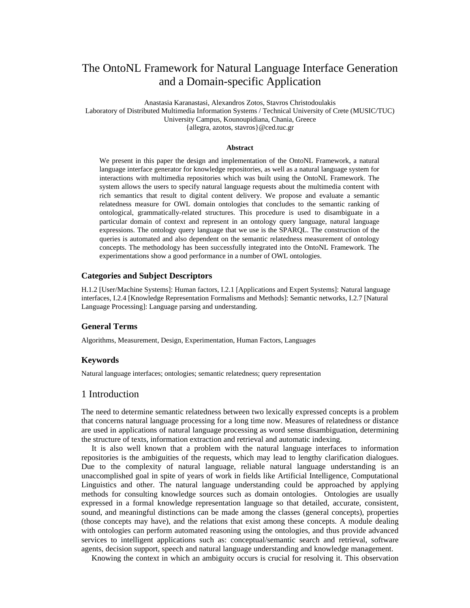# The OntoNL Framework for Natural Language Interface Generation and a Domain-specific Application

Anastasia Karanastasi, Alexandros Zotos, Stavros Christodoulakis Laboratory of Distributed Multimedia Information Systems / Technical University of Crete (MUSIC/TUC) University Campus, Kounoupidiana, Chania, Greece {allegra, azotos, stavros}@ced.tuc.gr

#### **Abstract**

We present in this paper the design and implementation of the OntoNL Framework, a natural language interface generator for knowledge repositories, as well as a natural language system for interactions with multimedia repositories which was built using the OntoNL Framework. The system allows the users to specify natural language requests about the multimedia content with rich semantics that result to digital content delivery. We propose and evaluate a semantic relatedness measure for OWL domain ontologies that concludes to the semantic ranking of ontological, grammatically-related structures. This procedure is used to disambiguate in a particular domain of context and represent in an ontology query language, natural language expressions. The ontology query language that we use is the SPARQL. The construction of the queries is automated and also dependent on the semantic relatedness measurement of ontology concepts. The methodology has been successfully integrated into the OntoNL Framework. The experimentations show a good performance in a number of OWL ontologies.

#### **Categories and Subject Descriptors**

H.1.2 [User/Machine Systems]: Human factors, I.2.1 [Applications and Expert Systems]: Natural language interfaces, I.2.4 [Knowledge Representation Formalisms and Methods]: Semantic networks, I.2.7 [Natural Language Processing]: Language parsing and understanding.

#### **General Terms**

Algorithms, Measurement, Design, Experimentation, Human Factors, Languages

#### **Keywords**

Natural language interfaces; ontologies; semantic relatedness; query representation

# 1 Introduction

The need to determine semantic relatedness between two lexically expressed concepts is a problem that concerns natural language processing for a long time now. Measures of relatedness or distance are used in applications of natural language processing as word sense disambiguation, determining the structure of texts, information extraction and retrieval and automatic indexing.

It is also well known that a problem with the natural language interfaces to information repositories is the ambiguities of the requests, which may lead to lengthy clarification dialogues. Due to the complexity of natural language, reliable natural language understanding is an unaccomplished goal in spite of years of work in fields like Artificial Intelligence, Computational Linguistics and other. The natural language understanding could be approached by applying methods for consulting knowledge sources such as domain ontologies. Ontologies are usually expressed in a formal knowledge representation language so that detailed, accurate, consistent, sound, and meaningful distinctions can be made among the classes (general concepts), properties (those concepts may have), and the relations that exist among these concepts. A module dealing with ontologies can perform automated reasoning using the ontologies, and thus provide advanced services to intelligent applications such as: conceptual/semantic search and retrieval, software agents, decision support, speech and natural language understanding and knowledge management.

Knowing the context in which an ambiguity occurs is crucial for resolving it. This observation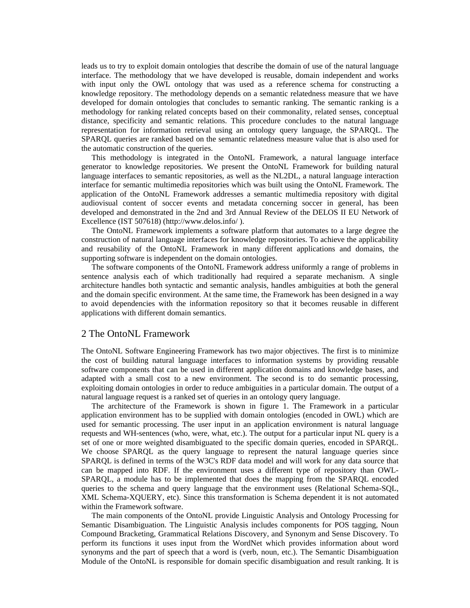leads us to try to exploit domain ontologies that describe the domain of use of the natural language interface. The methodology that we have developed is reusable, domain independent and works with input only the OWL ontology that was used as a reference schema for constructing a knowledge repository. The methodology depends on a semantic relatedness measure that we have developed for domain ontologies that concludes to semantic ranking. The semantic ranking is a methodology for ranking related concepts based on their commonality, related senses, conceptual distance, specificity and semantic relations. This procedure concludes to the natural language representation for information retrieval using an ontology query language, the SPARQL. The SPARQL queries are ranked based on the semantic relatedness measure value that is also used for the automatic construction of the queries.

This methodology is integrated in the OntoNL Framework, a natural language interface generator to knowledge repositories. We present the OntoNL Framework for building natural language interfaces to semantic repositories, as well as the NL2DL, a natural language interaction interface for semantic multimedia repositories which was built using the OntoNL Framework. The application of the OntoNL Framework addresses a semantic multimedia repository with digital audiovisual content of soccer events and metadata concerning soccer in general, has been developed and demonstrated in the 2nd and 3rd Annual Review of the DELOS II EU Network of Excellence (IST 507618) (http://www.delos.info/ ).

The OntoNL Framework implements a software platform that automates to a large degree the construction of natural language interfaces for knowledge repositories. To achieve the applicability and reusability of the OntoNL Framework in many different applications and domains, the supporting software is independent on the domain ontologies.

The software components of the OntoNL Framework address uniformly a range of problems in sentence analysis each of which traditionally had required a separate mechanism. A single architecture handles both syntactic and semantic analysis, handles ambiguities at both the general and the domain specific environment. At the same time, the Framework has been designed in a way to avoid dependencies with the information repository so that it becomes reusable in different applications with different domain semantics.

# 2 The OntoNL Framework

The OntoNL Software Engineering Framework has two major objectives. The first is to minimize the cost of building natural language interfaces to information systems by providing reusable software components that can be used in different application domains and knowledge bases, and adapted with a small cost to a new environment. The second is to do semantic processing, exploiting domain ontologies in order to reduce ambiguities in a particular domain. The output of a natural language request is a ranked set of queries in an ontology query language.

The architecture of the Framework is shown in figure 1. The Framework in a particular application environment has to be supplied with domain ontologies (encoded in OWL) which are used for semantic processing. The user input in an application environment is natural language requests and WH-sentences (who, were, what, etc.). The output for a particular input NL query is a set of one or more weighted disambiguated to the specific domain queries, encoded in SPARQL. We choose SPARQL as the query language to represent the natural language queries since SPARQL is defined in terms of the W3C's RDF data model and will work for any data source that can be mapped into RDF. If the environment uses a different type of repository than OWL-SPARQL, a module has to be implemented that does the mapping from the SPARQL encoded queries to the schema and query language that the environment uses (Relational Schema-SQL, XML Schema-XQUERY, etc). Since this transformation is Schema dependent it is not automated within the Framework software.

The main components of the OntoNL provide Linguistic Analysis and Ontology Processing for Semantic Disambiguation. The Linguistic Analysis includes components for POS tagging, Noun Compound Bracketing, Grammatical Relations Discovery, and Synonym and Sense Discovery. To perform its functions it uses input from the WordNet which provides information about word synonyms and the part of speech that a word is (verb, noun, etc.). The Semantic Disambiguation Module of the OntoNL is responsible for domain specific disambiguation and result ranking. It is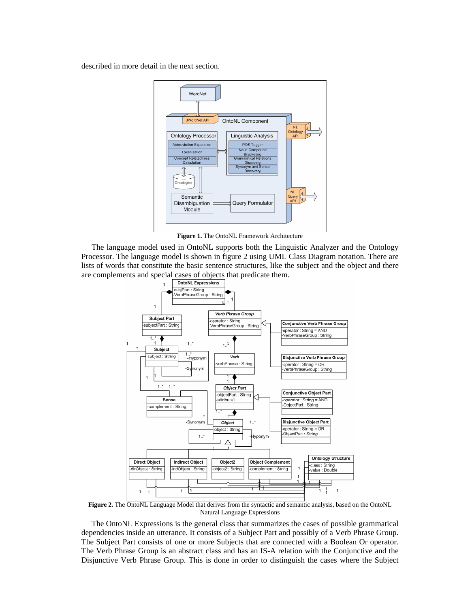described in more detail in the next section.



**Figure 1.** The OntoNL Framework Architecture

The language model used in OntoNL supports both the Linguistic Analyzer and the Ontology Processor. The language model is shown in figure 2 using UML Class Diagram notation. There are lists of words that constitute the basic sentence structures, like the subject and the object and there are complements and special cases of objects that predicate them.



**Figure 2.** The OntoNL Language Model that derives from the syntactic and semantic analysis, based on the OntoNL Natural Language Expressions

The OntoNL Expressions is the general class that summarizes the cases of possible grammatical dependencies inside an utterance. It consists of a Subject Part and possibly of a Verb Phrase Group. The Subject Part consists of one or more Subjects that are connected with a Boolean Or operator. The Verb Phrase Group is an abstract class and has an IS-A relation with the Conjunctive and the Disjunctive Verb Phrase Group. This is done in order to distinguish the cases where the Subject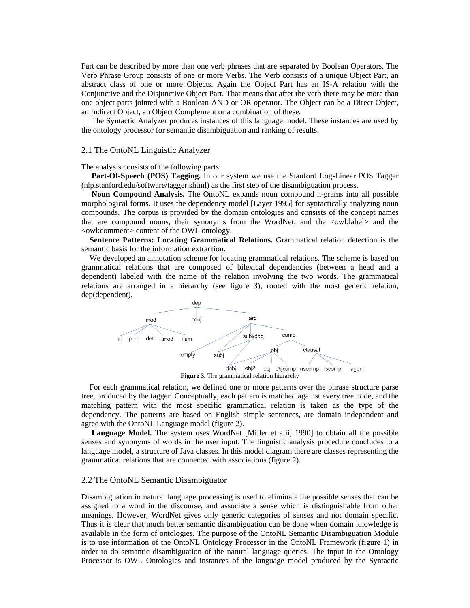Part can be described by more than one verb phrases that are separated by Boolean Operators. The Verb Phrase Group consists of one or more Verbs. The Verb consists of a unique Object Part, an abstract class of one or more Objects. Again the Object Part has an IS-A relation with the Conjunctive and the Disjunctive Object Part. That means that after the verb there may be more than one object parts jointed with a Boolean AND or OR operator. The Object can be a Direct Object, an Indirect Object, an Object Complement or a combination of these.

The Syntactic Analyzer produces instances of this language model. These instances are used by the ontology processor for semantic disambiguation and ranking of results.

#### 2.1 The OntoNL Linguistic Analyzer

#### The analysis consists of the following parts:

**Part-Of-Speech (POS) Tagging.** In our system we use the Stanford Log-Linear POS Tagger (nlp.stanford.edu/software/tagger.shtml) as the first step of the disambiguation process.

**Noun Compound Analysis.** The OntoNL expands noun compound n-grams into all possible morphological forms. It uses the dependency model [Layer 1995] for syntactically analyzing noun compounds. The corpus is provided by the domain ontologies and consists of the concept names that are compound nouns, their synonyms from the WordNet, and the <owl:label> and the <owl:comment> content of the OWL ontology.

**Sentence Patterns: Locating Grammatical Relations.** Grammatical relation detection is the semantic basis for the information extraction.

We developed an annotation scheme for locating grammatical relations. The scheme is based on grammatical relations that are composed of bilexical dependencies (between a head and a dependent) labeled with the name of the relation involving the two words. The grammatical relations are arranged in a hierarchy (see figure 3), rooted with the most generic relation, dep(dependent).



For each grammatical relation, we defined one or more patterns over the phrase structure parse tree, produced by the tagger. Conceptually, each pattern is matched against every tree node, and the matching pattern with the most specific grammatical relation is taken as the type of the dependency. The patterns are based on English simple sentences, are domain independent and agree with the OntoNL Language model (figure 2).

**Language Model.** The system uses WordNet [Miller et alii, 1990] to obtain all the possible senses and synonyms of words in the user input. The linguistic analysis procedure concludes to a language model, a structure of Java classes. In this model diagram there are classes representing the grammatical relations that are connected with associations (figure 2).

#### 2.2 The OntoNL Semantic Disambiguator

Disambiguation in natural language processing is used to eliminate the possible senses that can be assigned to a word in the discourse, and associate a sense which is distinguishable from other meanings. However, WordNet gives only generic categories of senses and not domain specific. Thus it is clear that much better semantic disambiguation can be done when domain knowledge is available in the form of ontologies. The purpose of the OntoNL Semantic Disambiguation Module is to use information of the OntoNL Ontology Processor in the OntoNL Framework (figure 1) in order to do semantic disambiguation of the natural language queries. The input in the Ontology Processor is OWL Ontologies and instances of the language model produced by the Syntactic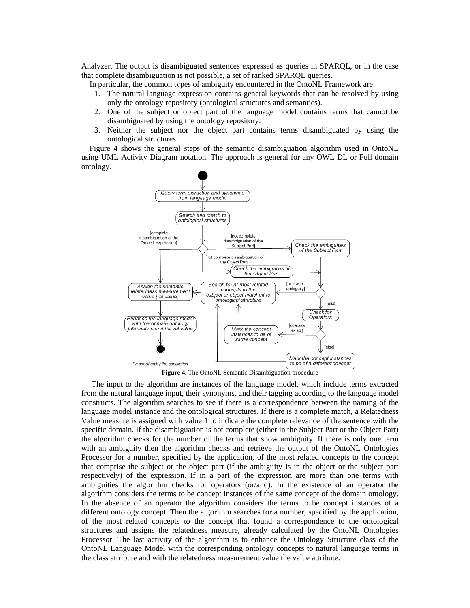Analyzer. The output is disambiguated sentences expressed as queries in SPARQL, or in the case that complete disambiguation is not possible, a set of ranked SPARQL queries.

In particular, the common types of ambiguity encountered in the OntoNL Framework are:

- 1. The natural language expression contains general keywords that can be resolved by using only the ontology repository (ontological structures and semantics).
- 2. One of the subject or object part of the language model contains terms that cannot be disambiguated by using the ontology repository.
- 3. Neither the subject nor the object part contains terms disambiguated by using the ontological structures.

Figure 4 shows the general steps of the semantic disambiguation algorithm used in OntoNL using UML Activity Diagram notation. The approach is general for any OWL DL or Full domain ontology.



**Figure 4.** The OntoNL Semantic Disambiguation procedure

The input to the algorithm are instances of the language model, which include terms extracted from the natural language input, their synonyms, and their tagging according to the language model constructs. The algorithm searches to see if there is a correspondence between the naming of the language model instance and the ontological structures. If there is a complete match, a Relatedness Value measure is assigned with value 1 to indicate the complete relevance of the sentence with the specific domain. If the disambiguation is not complete (either in the Subject Part or the Object Part) the algorithm checks for the number of the terms that show ambiguity. If there is only one term with an ambiguity then the algorithm checks and retrieve the output of the OntoNL Ontologies Processor for a number, specified by the application, of the most related concepts to the concept that comprise the subject or the object part (if the ambiguity is in the object or the subject part respectively) of the expression. If in a part of the expression are more than one terms with ambiguities the algorithm checks for operators (or/and). In the existence of an operator the algorithm considers the terms to be concept instances of the same concept of the domain ontology. In the absence of an operator the algorithm considers the terms to be concept instances of a different ontology concept. Then the algorithm searches for a number, specified by the application, of the most related concepts to the concept that found a correspondence to the ontological structures and assigns the relatedness measure, already calculated by the OntoNL Ontologies Processor. The last activity of the algorithm is to enhance the Ontology Structure class of the OntoNL Language Model with the corresponding ontology concepts to natural language terms in the class attribute and with the relatedness measurement value the value attribute.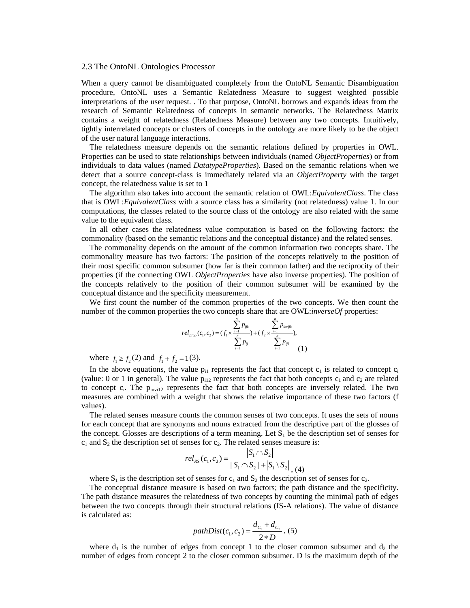#### 2.3 The OntoNL Ontologies Processor

When a query cannot be disambiguated completely from the OntoNL Semantic Disambiguation procedure, OntoNL uses a Semantic Relatedness Measure to suggest weighted possible interpretations of the user request. . To that purpose, OntoNL borrows and expands ideas from the research of Semantic Relatedness of concepts in semantic networks. The Relatedness Matrix contains a weight of relatedness (Relatedness Measure) between any two concepts. Intuitively, tightly interrelated concepts or clusters of concepts in the ontology are more likely to be the object of the user natural language interactions.

The relatedness measure depends on the semantic relations defined by properties in OWL. Properties can be used to state relationships between individuals (named *ObjectProperties*) or from individuals to data values (named *DatatypeProperties*). Based on the semantic relations when we detect that a source concept-class is immediately related via an *ObjectProperty* with the target concept, the relatedness value is set to 1

The algorithm also takes into account the semantic relation of OWL:*EquivalentClass*. The class that is OWL:*EquivalentClass* with a source class has a similarity (not relatedness) value 1. In our computations, the classes related to the source class of the ontology are also related with the same value to the equivalent class.

In all other cases the relatedness value computation is based on the following factors: the commonality (based on the semantic relations and the conceptual distance) and the related senses.

The commonality depends on the amount of the common information two concepts share. The commonality measure has two factors: The position of the concepts relatively to the position of their most specific common subsumer (how far is their common father) and the reciprocity of their properties (if the connecting OWL *ObjectProperties* have also inverse properties). The position of the concepts relatively to the position of their common subsumer will be examined by the conceptual distance and the specificity measurement.

We first count the number of the common properties of the two concepts. We then count the number of the common properties the two concepts share that are OWL:*inverseOf* properties:

$$
rel_{prop}(c_1, c_2) = (f_1 \times \frac{\sum_{i=1}^{n} p_{ijk}}{\sum_{i=1}^{n} p_{ij}}) + (f_2 \times \frac{\sum_{i=1}^{n} p_{imijk}}{\sum_{i=1}^{n} p_{ijk}}),
$$
 (1)

where  $f_1 \ge f_2(2)$  and  $f_1 + f_2 = 1(3)$ .

In the above equations, the value  $p_{i1}$  represents the fact that concept  $c_1$  is related to concept  $c_i$ (value: 0 or 1 in general). The value  $p_{i12}$  represents the fact that both concepts  $c_1$  and  $c_2$  are related to concept c<sub>i</sub>. The p<sub>invi12</sub> represents the fact that both concepts are inversely related. The two measures are combined with a weight that shows the relative importance of these two factors (f values).

The related senses measure counts the common senses of two concepts. It uses the sets of nouns for each concept that are synonyms and nouns extracted from the descriptive part of the glosses of the concept. Glosses are descriptions of a term meaning. Let  $S_1$  be the description set of senses for  $c_1$  and  $S_2$  the description set of senses for  $c_2$ . The related senses measure is:

$$
rel_{RS}(c_1, c_2) = \frac{|S_1 \cap S_2|}{|S_1 \cap S_2| + |S_1 \setminus S_2|}, (4)
$$

where  $S_1$  is the description set of senses for  $c_1$  and  $S_2$  the description set of senses for  $c_2$ .

The conceptual distance measure is based on two factors; the path distance and the specificity. The path distance measures the relatedness of two concepts by counting the minimal path of edges between the two concepts through their structural relations (IS-A relations). The value of distance is calculated as:

pathDist
$$
(c_1, c_2)
$$
 =  $\frac{d_{c_1} + d_{c_2}}{2*D}$ , (5)

where  $d_1$  is the number of edges from concept 1 to the closer common subsumer and  $d_2$  the number of edges from concept 2 to the closer common subsumer. D is the maximum depth of the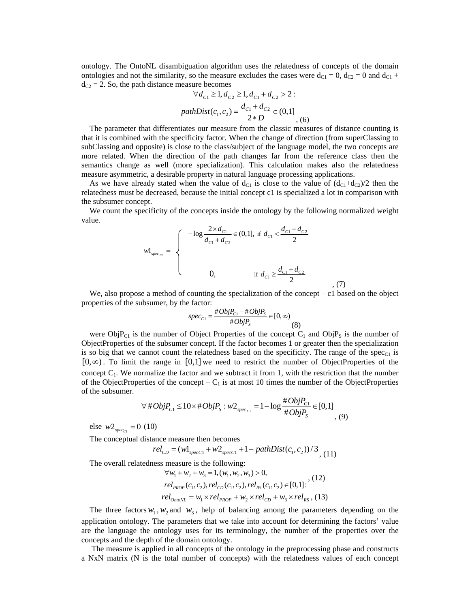ontology. The OntoNL disambiguation algorithm uses the relatedness of concepts of the domain ontologies and not the similarity, so the measure excludes the cases were  $d_{C1} = 0$ ,  $d_{C2} = 0$  and  $d_{C1}$  +  $d_{C2} = 2$ . So, the path distance measure becomes

$$
\forall d_{C1} \ge 1, d_{C2} \ge 1, d_{C1} + d_{C2} > 2:
$$
  
pathDist $(c_1, c_2) = \frac{d_{C1} + d_{C2}}{2*D} \in (0,1]$ , (6)

The parameter that differentiates our measure from the classic measures of distance counting is that it is combined with the specificity factor. When the change of direction (from superClassing to subClassing and opposite) is close to the class/subject of the language model, the two concepts are more related. When the direction of the path changes far from the reference class then the semantics change as well (more specialization). This calculation makes also the relatedness measure asymmetric, a desirable property in natural language processing applications.

As we have already stated when the value of  $d_{C1}$  is close to the value of  $(d_{C1}+d_{C2})/2$  then the relatedness must be decreased, because the initial concept c1 is specialized a lot in comparison with the subsumer concept.

We count the specificity of the concepts inside the ontology by the following normalized weight value.

$$
w1_{spec_{c1}} = \begin{cases}\n-\log \frac{2 \times d_{c1}}{d_{c1} + d_{c2}} \in (0,1], \text{ if } d_{c1} < \frac{d_{c1} + d_{c2}}{2} \\
0, \text{ if } d_{c1} \ge \frac{d_{c1} + d_{c2}}{2}\n\end{cases}
$$
\n(7)

We, also propose a method of counting the specialization of the concept  $-c1$  based on the object properties of the subsumer, by the factor:

$$
spec_{C1} = \frac{\#ObjP_{C1} - \#ObjP_S}{\#ObjP_S} \in [0, \infty)
$$
\n(8)

were ObjP<sub>C1</sub> is the number of Object Properties of the concept  $C_1$  and ObjP<sub>S</sub> is the number of ObjectProperties of the subsumer concept. If the factor becomes 1 or greater then the specialization is so big that we cannot count the relatedness based on the specificity. The range of the spec<sub>C1</sub> is  $[0, \infty)$ . To limit the range in  $[0,1]$  we need to restrict the number of ObjectProperties of the concept  $C_1$ . We normalize the factor and we subtract it from 1, with the restriction that the number of the ObjectProperties of the concept –  $C_1$  is at most 10 times the number of the ObjectProperties of the subsumer.

$$
\forall #ObjP_{C1} \le 10 \times #ObjP_{S} : w2_{spec_{C1}} = 1 - \log \frac{\#ObjP_{C1}}{\#ObjP_{S}} \in [0,1]
$$
\n(9)

else  $w2_{\text{spec}_{C_1}} = 0$  (10)

The conceptual distance measure then becomes

$$
rel_{CD} = (w1_{specC1} + w2_{specC1} + 1 - pathDist(c_1, c_2))/3
$$
 (11)

The overall relatedness measure is the following:

$$
\forall w_1 + w_2 + w_3 = 1, (w_1, w_2, w_3) > 0,
$$
  
\n
$$
rel_{PROP}(c_1, c_2), rel_{CD}(c_1, c_2), rel_{RS}(c_1, c_2) \in [0, 1]:
$$
  
\n
$$
rel_{OntoNL} = w_1 \times rel_{PROP} + w_2 \times rel_{CD} + w_3 \times rel_{RS}, (13)
$$

The three factors  $w_1$ ,  $w_2$  and  $w_3$ , help of balancing among the parameters depending on the application ontology. The parameters that we take into account for determining the factors' value are the language the ontology uses for its terminology, the number of the properties over the concepts and the depth of the domain ontology.

The measure is applied in all concepts of the ontology in the preprocessing phase and constructs a NxN matrix (N is the total number of concepts) with the relatedness values of each concept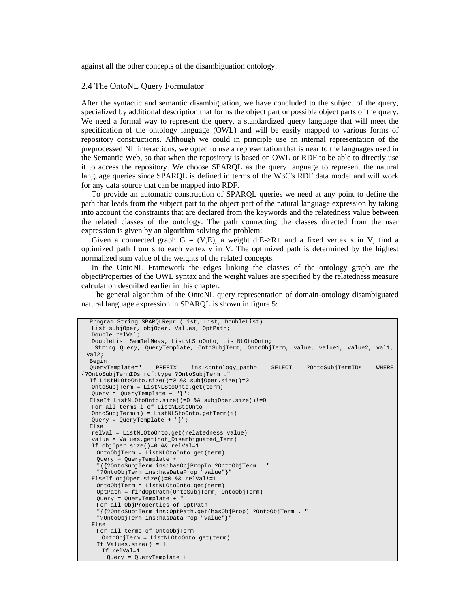against all the other concepts of the disambiguation ontology.

#### 2.4 The OntoNL Query Formulator

After the syntactic and semantic disambiguation, we have concluded to the subject of the query, specialized by additional description that forms the object part or possible object parts of the query. We need a formal way to represent the query, a standardized query language that will meet the specification of the ontology language (OWL) and will be easily mapped to various forms of repository constructions. Although we could in principle use an internal representation of the preprocessed NL interactions, we opted to use a representation that is near to the languages used in the Semantic Web, so that when the repository is based on OWL or RDF to be able to directly use it to access the repository. We choose SPARQL as the query language to represent the natural language queries since SPARQL is defined in terms of the W3C's RDF data model and will work for any data source that can be mapped into RDF.

To provide an automatic construction of SPARQL queries we need at any point to define the path that leads from the subject part to the object part of the natural language expression by taking into account the constraints that are declared from the keywords and the relatedness value between the related classes of the ontology. The path connecting the classes directed from the user expression is given by an algorithm solving the problem:

Given a connected graph  $G = (V,E)$ , a weight d:E->R+ and a fixed vertex s in V, find a optimized path from s to each vertex v in V. The optimized path is determined by the highest normalized sum value of the weights of the related concepts.

In the OntoNL Framework the edges linking the classes of the ontology graph are the objectProperties of the OWL syntax and the weight values are specified by the relatedness measure calculation described earlier in this chapter.

The general algorithm of the OntoNL query representation of domain-ontology disambiguated natural language expression in SPARQL is shown in figure 5:

```
Program String SPARQLRepr (List, List, DoubleList) 
   List subjOper, objOper, Values, OptPath; 
   Double relVal; 
   DoubleList SemRelMeas, ListNLStoOnto, ListNLOtoOnto; 
   String Query, QueryTemplate, OntoSubjTerm, OntoObjTerm, value, value1, value2, val1, 
 val2; 
  Begin<br>QueryTemplate="
                     PREFIX ins:<ontology_path> SELECT ?OntoSubjTermIDs WHERE
{?OntoSubjTermIDs rdf:type ?OntoSubjTerm ." 
  If ListNLOtoOnto.size()=0 && subjOper.size()=0 
   OntoSubjTerm = ListNLStoOnto.get(term) 
   Query = QueryTemplate + "}"; 
  ElseIf ListNLOtoOnto.size()=0 && subjOper.size()!=0
   For all terms i of ListNLStoOnto 
   OntoSubjTerm(i) = ListNLStoOnto.getTerm(i) 
   Query = QueryTemplate + "}"; 
  Else 
   relVal = ListNLOtoOnto.get(relatedness value) 
   value = Values.get(not_Disambiguated_Term) 
   If objOper.size()=0 && relVal=1 
     OntoObjTerm = ListNLOtoOnto.get(term) 
     Query = QueryTemplate + 
     "{{?OntoSubjTerm ins:hasObjPropTo ?OntoObjTerm . " 
     "?OntoObjTerm ins:hasDataProp "value"}" 
   ElseIf objOper.size()=0 && relVal!=1 
     OntoObjTerm = ListNLOtoOnto.get(term) 
     OptPath = findOptPath(OntoSubjTerm, OntoObjTerm) 
    Query = QueryTemplate +
     For all ObjProperties of OptPath 
     "{{?OntoSubjTerm ins:OptPath.get(hasObjProp) ?OntoObjTerm . " 
     "?OntoObjTerm ins:hasDataProp "value"}" 
   Else 
     For all terms of OntoObjTerm 
      OntoObjTerm = ListNLOtoOnto.get(term) 
     If Values.size() = 1 
      If relVal=1 
        Query = QueryTemplate +
```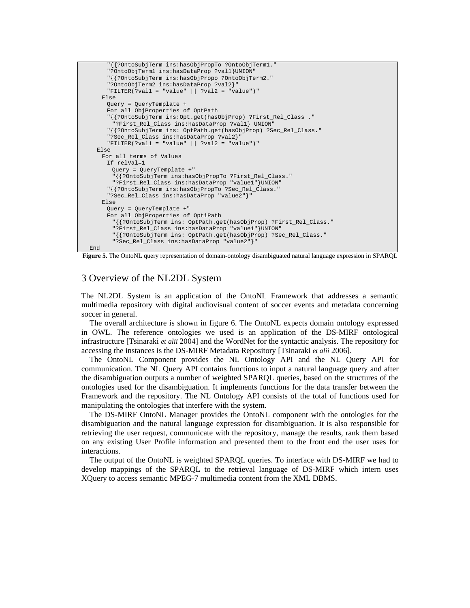```
 "{{?OntoSubjTerm ins:hasObjPropTo ?OntoObjTerm1." 
      "?OntoObjTerm1 ins:hasDataProp ?val1}UNION" 
      "{{?OntoSubjTerm ins:hasObjPropo ?OntoObjTerm2." 
      "?OntoObjTerm2 ins:hasDataProp ?val2}" 
      "FILTER(?val1 = "value" || ?val2 = "value")" 
    Else 
      Query = QueryTemplate + 
      For all ObjProperties of OptPath 
       "{{?OntoSubjTerm ins:Opt.get(hasObjProp) ?First_Rel_Class ." 
        "?First_Rel_Class ins:hasDataProp ?val1} UNION" 
      "{{?OntoSubjTerm ins: OptPath.get(hasObjProp) ?Sec_Rel_Class." 
      "?Sec_Rel_Class ins:hasDataProp ?val2}" 
      "FILTER(?val1 = "value" || ?val2 = "value")" 
   Else 
    For all terms of Values 
      If relVal=1 
        Query = QueryTemplate +" 
        "{{?OntoSubjTerm ins:hasObjPropTo ?First_Rel_Class." 
        "?First_Rel_Class ins:hasDataProp "value1"}UNION" 
      "{{?OntoSubjTerm ins:hasObjPropTo ?Sec_Rel_Class." 
      "?Sec_Rel_Class ins:hasDataProp "value2"}" 
    Else 
      Query = QueryTemplate +" 
      For all ObjProperties of OptiPath 
        "{{?OntoSubjTerm ins: OptPath.get(hasObjProp) ?First_Rel_Class." 
        "?First_Rel_Class ins:hasDataProp "value1"}UNION" 
        "{{?OntoSubjTerm ins: OptPath.get(hasObjProp) ?Sec_Rel_Class." 
        "?Sec_Rel_Class ins:hasDataProp "value2"}" 
End
```
**Figure 5.** The OntoNL query representation of domain-ontology disambiguated natural language expression in SPARQL

# 3 Overview of the NL2DL System

The NL2DL System is an application of the OntoNL Framework that addresses a semantic multimedia repository with digital audiovisual content of soccer events and metadata concerning soccer in general.

The overall architecture is shown in figure 6. The OntoNL expects domain ontology expressed in OWL. The reference ontologies we used is an application of the DS-MIRF ontological infrastructure [Tsinaraki *et alii* 2004] and the WordNet for the syntactic analysis. The repository for accessing the instances is the DS-MIRF Metadata Repository [Tsinaraki *et alii* 2006].

The OntoNL Component provides the NL Ontology API and the NL Query API for communication. The NL Query API contains functions to input a natural language query and after the disambiguation outputs a number of weighted SPARQL queries, based on the structures of the ontologies used for the disambiguation. It implements functions for the data transfer between the Framework and the repository. The NL Ontology API consists of the total of functions used for manipulating the ontologies that interfere with the system.

The DS-MIRF OntoNL Manager provides the OntoNL component with the ontologies for the disambiguation and the natural language expression for disambiguation. It is also responsible for retrieving the user request, communicate with the repository, manage the results, rank them based on any existing User Profile information and presented them to the front end the user uses for interactions.

The output of the OntoNL is weighted SPARQL queries. To interface with DS-MIRF we had to develop mappings of the SPARQL to the retrieval language of DS-MIRF which intern uses XQuery to access semantic MPEG-7 multimedia content from the XML DBMS.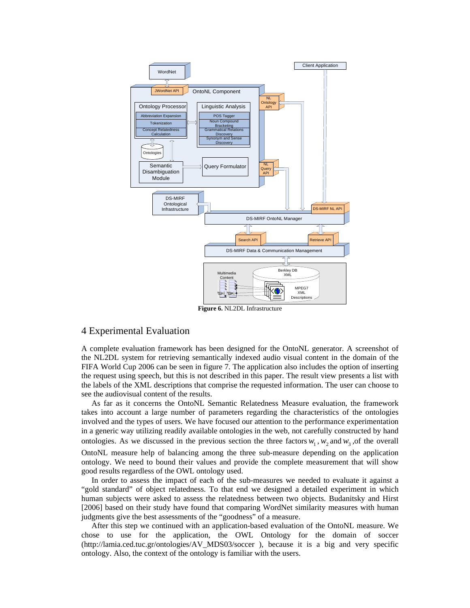

**Figure 6.** NL2DL Infrastructure

# 4 Experimental Evaluation

A complete evaluation framework has been designed for the OntoNL generator. A screenshot of the NL2DL system for retrieving semantically indexed audio visual content in the domain of the FIFA World Cup 2006 can be seen in figure 7. The application also includes the option of inserting the request using speech, but this is not described in this paper. The result view presents a list with the labels of the XML descriptions that comprise the requested information. The user can choose to see the audiovisual content of the results.

As far as it concerns the OntoNL Semantic Relatedness Measure evaluation, the framework takes into account a large number of parameters regarding the characteristics of the ontologies involved and the types of users. We have focused our attention to the performance experimentation in a generic way utilizing readily available ontologies in the web, not carefully constructed by hand ontologies. As we discussed in the previous section the three factors  $w_1$ ,  $w_2$  and  $w_3$ , of the overall OntoNL measure help of balancing among the three sub-measure depending on the application ontology. We need to bound their values and provide the complete measurement that will show good results regardless of the OWL ontology used.

In order to assess the impact of each of the sub-measures we needed to evaluate it against a "gold standard" of object relatedness. To that end we designed a detailed experiment in which human subjects were asked to assess the relatedness between two objects. Budanitsky and Hirst [2006] based on their study have found that comparing WordNet similarity measures with human judgments give the best assessments of the "goodness" of a measure.

After this step we continued with an application-based evaluation of the OntoNL measure. We chose to use for the application, the OWL Ontology for the domain of soccer (http://lamia.ced.tuc.gr/ontologies/AV\_MDS03/soccer ), because it is a big and very specific ontology. Also, the context of the ontology is familiar with the users.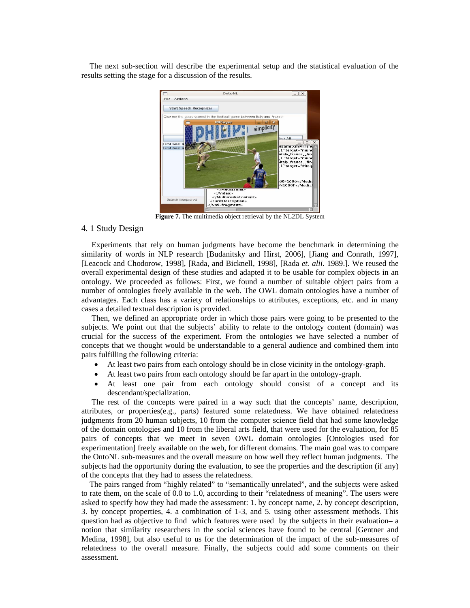The next sub-section will describe the experimental setup and the statistical evaluation of the results setting the stage for a discussion of the results.



**Figure 7.** The multimedia object retrieval by the NL2DL System

### 4. 1 Study Design

Experiments that rely on human judgments have become the benchmark in determining the similarity of words in NLP research [Budanitsky and Hirst, 2006], [Jiang and Conrath, 1997], [Leacock and Chodorow, 1998], [Rada, and Bicknell, 1998], [Rada *et. alii*. 1989.]. We reused the overall experimental design of these studies and adapted it to be usable for complex objects in an ontology. We proceeded as follows: First, we found a number of suitable object pairs from a number of ontologies freely available in the web. The OWL domain ontologies have a number of advantages. Each class has a variety of relationships to attributes, exceptions, etc. and in many cases a detailed textual description is provided.

Then, we defined an appropriate order in which those pairs were going to be presented to the subjects. We point out that the subjects' ability to relate to the ontology content (domain) was crucial for the success of the experiment. From the ontologies we have selected a number of concepts that we thought would be understandable to a general audience and combined them into pairs fulfilling the following criteria:

- At least two pairs from each ontology should be in close vicinity in the ontology-graph.
- At least two pairs from each ontology should be far apart in the ontology-graph.
- At least one pair from each ontology should consist of a concept and its descendant/specialization.

The rest of the concepts were paired in a way such that the concepts' name, description, attributes, or properties(e.g., parts) featured some relatedness. We have obtained relatedness judgments from 20 human subjects, 10 from the computer science field that had some knowledge of the domain ontologies and 10 from the liberal arts field, that were used for the evaluation, for 85 pairs of concepts that we meet in seven OWL domain ontologies [Ontologies used for experimentation] freely available on the web, for different domains. The main goal was to compare the OntoNL sub-measures and the overall measure on how well they reflect human judgments. The subjects had the opportunity during the evaluation, to see the properties and the description (if any) of the concepts that they had to assess the relatedness.

The pairs ranged from "highly related" to "semantically unrelated", and the subjects were asked to rate them, on the scale of 0.0 to 1.0, according to their "relatedness of meaning". The users were asked to specify how they had made the assessment: 1. by concept name, 2. by concept description, 3. by concept properties, 4. a combination of 1-3, and 5. using other assessment methods. This question had as objective to find which features were used by the subjects in their evaluation– a notion that similarity researchers in the social sciences have found to be central [Gentner and Medina, 1998], but also useful to us for the determination of the impact of the sub-measures of relatedness to the overall measure. Finally, the subjects could add some comments on their assessment.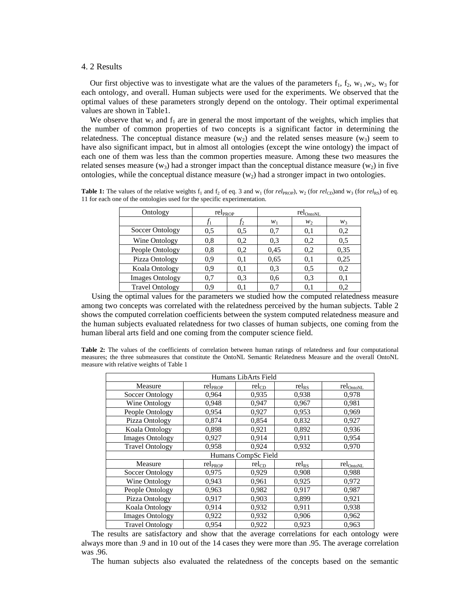#### 4. 2 Results

Our first objective was to investigate what are the values of the parameters  $f_1$ ,  $f_2$ ,  $w_1$ ,  $w_2$ ,  $w_3$  for each ontology, and overall. Human subjects were used for the experiments. We observed that the optimal values of these parameters strongly depend on the ontology. Their optimal experimental values are shown in Table1.

We observe that  $w_1$  and  $f_1$  are in general the most important of the weights, which implies that the number of common properties of two concepts is a significant factor in determining the relatedness. The conceptual distance measure  $(w_2)$  and the related senses measure  $(w_3)$  seem to have also significant impact, but in almost all ontologies (except the wine ontology) the impact of each one of them was less than the common properties measure. Among these two measures the related senses measure  $(w_3)$  had a stronger impact than the conceptual distance measure  $(w_2)$  in five ontologies, while the conceptual distance measure  $(w_2)$  had a stronger impact in two ontologies.

| Ontology               | rel <sub>PROP</sub> |     | $rel_{\text{OntoNL}}$ |                |       |  |  |
|------------------------|---------------------|-----|-----------------------|----------------|-------|--|--|
|                        | I <sub>1</sub>      | Ť2  | $W_1$                 | W <sub>2</sub> | $W_3$ |  |  |
| Soccer Ontology        | 0.5                 | 0.5 | 0.7                   | 0.1            | 0,2   |  |  |
| Wine Ontology          | 0.8                 | 0,2 | 0.3                   | 0.2            | 0.5   |  |  |
| People Ontology        | 0.8                 | 0,2 | 0.45                  | 0.2            | 0.35  |  |  |
| Pizza Ontology         | 0.9                 | 0.1 | 0.65                  | 0.1            | 0.25  |  |  |
| Koala Ontology         | 0.9                 | 0,1 | 0.3                   | 0.5            | 0,2   |  |  |
| <b>Images Ontology</b> | 0.7                 | 0.3 | 0.6                   | 0.3            | 0,1   |  |  |
| <b>Travel Ontology</b> | 0.9                 | 0.1 | 0.7                   | 0.1            | 0.2   |  |  |

**Table 1:** The values of the relative weights  $f_1$  and  $f_2$  of eq. 3 and w<sub>1</sub> (for  $rel_{PROP}$ ), w<sub>2</sub> (for  $rel_{CD}$ )and w<sub>3</sub> (for  $rel_{RS}$ ) of eq. 11 for each one of the ontologies used for the specific experimentation.

Using the optimal values for the parameters we studied how the computed relatedness measure among two concepts was correlated with the relatedness perceived by the human subjects. Table 2 shows the computed correlation coefficients between the system computed relatedness measure and the human subjects evaluated relatedness for two classes of human subjects, one coming from the human liberal arts field and one coming from the computer science field.

|                                          |  |  |  |  |  |  | <b>Table 2:</b> The values of the coefficients of correlation between human ratings of relatedness and four computational |  |  |
|------------------------------------------|--|--|--|--|--|--|---------------------------------------------------------------------------------------------------------------------------|--|--|
|                                          |  |  |  |  |  |  | measures; the three submeasures that constitute the OntoNL Semantic Relatedness Measure and the overall OntoNL            |  |  |
| measure with relative weights of Table 1 |  |  |  |  |  |  |                                                                                                                           |  |  |

| Humans LibArts Field   |                     |            |            |                       |  |  |  |  |  |
|------------------------|---------------------|------------|------------|-----------------------|--|--|--|--|--|
| Measure                | rel <sub>PROP</sub> | $rel_{CD}$ | $rel_{RS}$ | rel <sub>OntoNL</sub> |  |  |  |  |  |
| Soccer Ontology        | 0,964               | 0,935      | 0,938      | 0,978                 |  |  |  |  |  |
| Wine Ontology          | 0,948               | 0,947      | 0,967      | 0.981                 |  |  |  |  |  |
| People Ontology        | 0,954               | 0,927      | 0,953      | 0,969                 |  |  |  |  |  |
| Pizza Ontology         | 0,874               | 0,854      | 0,832      | 0,927                 |  |  |  |  |  |
| Koala Ontology         | 0,898               | 0,921      | 0,892      | 0,936                 |  |  |  |  |  |
| <b>Images Ontology</b> | 0,927               | 0,914      | 0,911      | 0,954                 |  |  |  |  |  |
| <b>Travel Ontology</b> | 0,958               | 0.924      | 0,932      | 0,970                 |  |  |  |  |  |
|                        | Humans CompSc Field |            |            |                       |  |  |  |  |  |
| Measure                | rel <sub>PROP</sub> | $rel_{CD}$ | $rel_{RS}$ | rel <sub>OntoNL</sub> |  |  |  |  |  |
| Soccer Ontology        | 0,975               | 0,929      | 0,908      | 0,988                 |  |  |  |  |  |
| Wine Ontology          | 0,943               | 0,961      | 0,925      | 0,972                 |  |  |  |  |  |
| People Ontology        | 0,963               | 0,982      | 0.917      | 0,987                 |  |  |  |  |  |
| Pizza Ontology         | 0,917               | 0,903      | 0,899      | 0,921                 |  |  |  |  |  |
| Koala Ontology         | 0.914               | 0,932      | 0.911      | 0,938                 |  |  |  |  |  |
| <b>Images Ontology</b> | 0,922               | 0,932      | 0,906      | 0,962                 |  |  |  |  |  |
| <b>Travel Ontology</b> | 0,954               | 0,922      | 0,923      | 0,963                 |  |  |  |  |  |

The results are satisfactory and show that the average correlations for each ontology were always more than .9 and in 10 out of the 14 cases they were more than .95. The average correlation was .96.

The human subjects also evaluated the relatedness of the concepts based on the semantic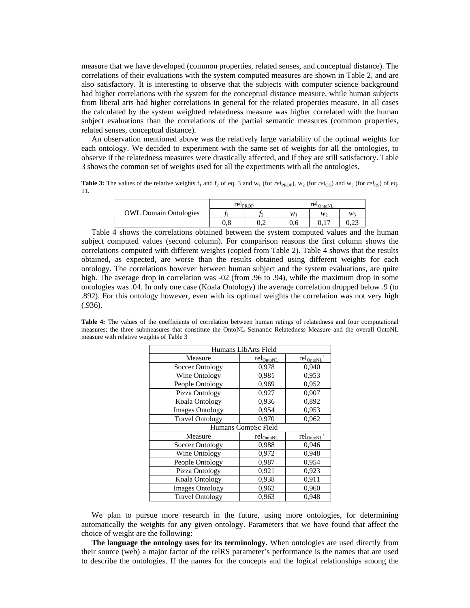measure that we have developed (common properties, related senses, and conceptual distance). The correlations of their evaluations with the system computed measures are shown in Table 2, and are also satisfactory. It is interesting to observe that the subjects with computer science background had higher correlations with the system for the conceptual distance measure, while human subjects from liberal arts had higher correlations in general for the related properties measure. In all cases the calculated by the system weighted relatedness measure was higher correlated with the human subject evaluations than the correlations of the partial semantic measures (common properties, related senses, conceptual distance).

An observation mentioned above was the relatively large variability of the optimal weights for each ontology. We decided to experiment with the same set of weights for all the ontologies, to observe if the relatedness measures were drastically affected, and if they are still satisfactory. Table 3 shows the common set of weights used for all the experiments with all the ontologies.

**Table 3:** The values of the relative weights  $f_1$  and  $f_2$  of eq. 3 and  $w_1$  (for  $rel_{PROP}$ ),  $w_2$  (for  $rel_{CD}$ ) and  $w_3$  (for  $rel_{RS}$ ) of eq. 11.

|                              |     | $rel_{PROP}$ | $rel_{\text{OntoNL}}$ |       |       |  |  |
|------------------------------|-----|--------------|-----------------------|-------|-------|--|--|
| <b>OWL Domain Ontologies</b> |     |              | $W_1$                 | $W_2$ | $W_2$ |  |  |
|                              | U.O | ∩∩<br>∪.∠    | 0.6                   | 0.17  | 0.23  |  |  |

Table 4 shows the correlations obtained between the system computed values and the human subject computed values (second column). For comparison reasons the first column shows the correlations computed with different weights (copied from Table 2). Table 4 shows that the results obtained, as expected, are worse than the results obtained using different weights for each ontology. The correlations however between human subject and the system evaluations, are quite high. The average drop in correlation was -02 (from .96 to .94), while the maximum drop in some ontologies was .04. In only one case (Koala Ontology) the average correlation dropped below .9 (to .892). For this ontology however, even with its optimal weights the correlation was not very high (.936).

**Table 4:** The values of the coefficients of correlation between human ratings of relatedness and four computational measures; the three submeasures that constitute the OntoNL Semantic Relatedness Measure and the overall OntoNL measure with relative weights of Table 3

| Humans LibArts Field   |                       |                       |  |  |  |  |  |  |
|------------------------|-----------------------|-----------------------|--|--|--|--|--|--|
| Measure                | rel <sub>OntoNL</sub> | rel <sub>OntoNL</sub> |  |  |  |  |  |  |
| Soccer Ontology        | 0,978                 | 0,940                 |  |  |  |  |  |  |
| Wine Ontology          | 0,981                 | 0,953                 |  |  |  |  |  |  |
| People Ontology        | 0,969                 | 0,952                 |  |  |  |  |  |  |
| Pizza Ontology         | 0,927                 | 0,907                 |  |  |  |  |  |  |
| Koala Ontology         | 0,936                 | 0,892                 |  |  |  |  |  |  |
| <b>Images Ontology</b> | 0,954                 | 0,953                 |  |  |  |  |  |  |
| <b>Travel Ontology</b> | 0,970                 | 0,962                 |  |  |  |  |  |  |
| Humans CompSc Field    |                       |                       |  |  |  |  |  |  |
| Measure                | rel <sub>OntoNL</sub> | relontoNL             |  |  |  |  |  |  |
| Soccer Ontology        | 0,988                 | 0,946                 |  |  |  |  |  |  |
| Wine Ontology          | 0,972                 | 0,948                 |  |  |  |  |  |  |
| People Ontology        | 0,987                 | 0,954                 |  |  |  |  |  |  |
| Pizza Ontology         | 0,921                 | 0,923                 |  |  |  |  |  |  |
| Koala Ontology         | 0,938                 | 0,911                 |  |  |  |  |  |  |
| <b>Images Ontology</b> | 0,962                 | 0,960                 |  |  |  |  |  |  |
| <b>Travel Ontology</b> | 0,963                 | 0.948                 |  |  |  |  |  |  |

We plan to pursue more research in the future, using more ontologies, for determining automatically the weights for any given ontology. Parameters that we have found that affect the choice of weight are the following:

**The language the ontology uses for its terminology.** When ontologies are used directly from their source (web) a major factor of the relRS parameter's performance is the names that are used to describe the ontologies. If the names for the concepts and the logical relationships among the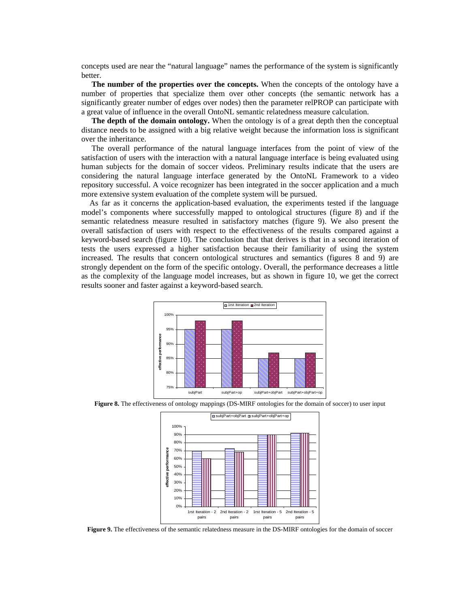concepts used are near the "natural language" names the performance of the system is significantly better.

**The number of the properties over the concepts.** When the concepts of the ontology have a number of properties that specialize them over other concepts (the semantic network has a significantly greater number of edges over nodes) then the parameter relPROP can participate with a great value of influence in the overall OntoNL semantic relatedness measure calculation.

**The depth of the domain ontology.** When the ontology is of a great depth then the conceptual distance needs to be assigned with a big relative weight because the information loss is significant over the inheritance.

The overall performance of the natural language interfaces from the point of view of the satisfaction of users with the interaction with a natural language interface is being evaluated using human subjects for the domain of soccer videos. Preliminary results indicate that the users are considering the natural language interface generated by the OntoNL Framework to a video repository successful. A voice recognizer has been integrated in the soccer application and a much more extensive system evaluation of the complete system will be pursued.

As far as it concerns the application-based evaluation, the experiments tested if the language model's components where successfully mapped to ontological structures (figure 8) and if the semantic relatedness measure resulted in satisfactory matches (figure 9). We also present the overall satisfaction of users with respect to the effectiveness of the results compared against a keyword-based search (figure 10). The conclusion that that derives is that in a second iteration of tests the users expressed a higher satisfaction because their familiarity of using the system increased. The results that concern ontological structures and semantics (figures 8 and 9) are strongly dependent on the form of the specific ontology. Overall, the performance decreases a little as the complexity of the language model increases, but as shown in figure 10, we get the correct results sooner and faster against a keyword-based search.



**Figure 8.** The effectiveness of ontology mappings (DS-MIRF ontologies for the domain of soccer) to user input



**Figure 9.** The effectiveness of the semantic relatedness measure in the DS-MIRF ontologies for the domain of soccer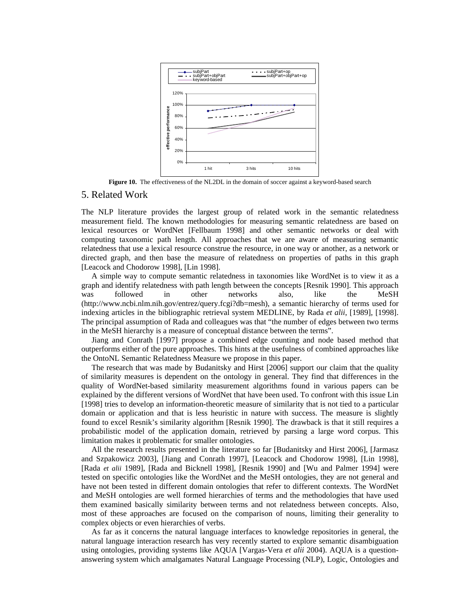

Figure 10. The effectiveness of the NL2DL in the domain of soccer against a keyword-based search

## 5. Related Work

The NLP literature provides the largest group of related work in the semantic relatedness measurement field. The known methodologies for measuring semantic relatedness are based on lexical resources or WordNet [Fellbaum 1998] and other semantic networks or deal with computing taxonomic path length. All approaches that we are aware of measuring semantic relatedness that use a lexical resource construe the resource, in one way or another, as a network or directed graph, and then base the measure of relatedness on properties of paths in this graph [Leacock and Chodorow 1998], [Lin 1998].

A simple way to compute semantic relatedness in taxonomies like WordNet is to view it as a graph and identify relatedness with path length between the concepts [Resnik 1990]. This approach was followed in other networks also, like the MeSH (http://www.ncbi.nlm.nih.gov/entrez/query.fcgi?db=mesh), a semantic hierarchy of terms used for indexing articles in the bibliographic retrieval system MEDLINE, by Rada *et alii*, [1989], [1998]. The principal assumption of Rada and colleagues was that "the number of edges between two terms in the MeSH hierarchy is a measure of conceptual distance between the terms".

Jiang and Conrath [1997] propose a combined edge counting and node based method that outperforms either of the pure approaches. This hints at the usefulness of combined approaches like the OntoNL Semantic Relatedness Measure we propose in this paper.

The research that was made by Budanitsky and Hirst [2006] support our claim that the quality of similarity measures is dependent on the ontology in general. They find that differences in the quality of WordNet-based similarity measurement algorithms found in various papers can be explained by the different versions of WordNet that have been used. To confront with this issue Lin [1998] tries to develop an information-theoretic measure of similarity that is not tied to a particular domain or application and that is less heuristic in nature with success. The measure is slightly found to excel Resnik's similarity algorithm [Resnik 1990]. The drawback is that it still requires a probabilistic model of the application domain, retrieved by parsing a large word corpus. This limitation makes it problematic for smaller ontologies.

All the research results presented in the literature so far [Budanitsky and Hirst 2006], [Jarmasz and Szpakowicz 2003], [Jiang and Conrath 1997], [Leacock and Chodorow 1998], [Lin 1998], [Rada *et alii* 1989], [Rada and Bicknell 1998], [Resnik 1990] and [Wu and Palmer 1994] were tested on specific ontologies like the WordNet and the MeSH ontologies, they are not general and have not been tested in different domain ontologies that refer to different contexts. The WordNet and MeSH ontologies are well formed hierarchies of terms and the methodologies that have used them examined basically similarity between terms and not relatedness between concepts. Also, most of these approaches are focused on the comparison of nouns, limiting their generality to complex objects or even hierarchies of verbs.

As far as it concerns the natural language interfaces to knowledge repositories in general, the natural language interaction research has very recently started to explore semantic disambiguation using ontologies, providing systems like AQUA [Vargas-Vera *et alii* 2004). AQUA is a questionanswering system which amalgamates Natural Language Processing (NLP), Logic, Ontologies and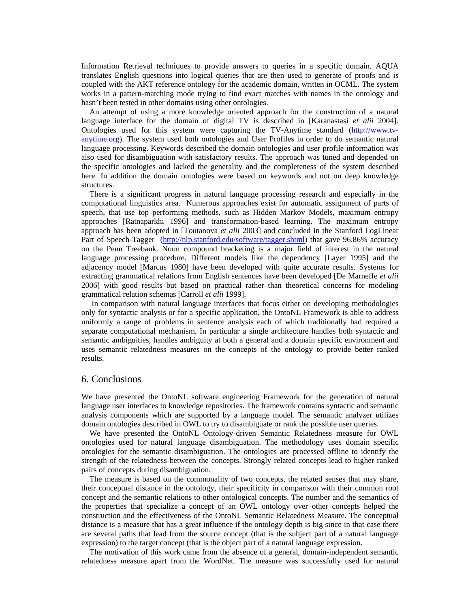Information Retrieval techniques to provide answers to queries in a specific domain. AQUA translates English questions into logical queries that are then used to generate of proofs and is coupled with the AKT reference ontology for the academic domain, written in OCML. The system works in a pattern-matching mode trying to find exact matches with names in the ontology and hasn't been tested in other domains using other ontologies.

An attempt of using a more knowledge oriented approach for the construction of a natural language interface for the domain of digital TV is described in [Karanastasi *et alii* 2004]. Ontologies used for this system were capturing the TV-Anytime standard (http://www.tvanytime.org). The system used both ontologies and User Profiles in order to do semantic natural language processing. Keywords described the domain ontologies and user profile information was also used for disambiguation with satisfactory results. The approach was tuned and depended on the specific ontologies and lacked the generality and the completeness of the system described here. In addition the domain ontologies were based on keywords and not on deep knowledge structures.

There is a significant progress in natural language processing research and especially in the computational linguistics area. Numerous approaches exist for automatic assignment of parts of speech, that use top performing methods, such as Hidden Markov Models, maximum entropy approaches [Ratnaparkhi 1996] and transformation-based learning. The maximum entropy approach has been adopted in [Toutanova *et alii* 2003] and concluded in the Stanford LogLinear Part of Speech-Tagger (http://nlp.stanford.edu/software/tagger.shtml) that gave 96.86% accuracy on the Penn Treebank. Noun compound bracketing is a major field of interest in the natural language processing procedure. Different models like the dependency [Layer 1995] and the adjacency model [Marcus 1980] have been developed with quite accurate results. Systems for extracting grammatical relations from English sentences have been developed [De Marneffe *et alii* 2006] with good results but based on practical rather than theoretical concerns for modeling grammatical relation schemas [Carroll *et alii* 1999].

In comparison with natural language interfaces that focus either on developing methodologies only for syntactic analysis or for a specific application, the OntoNL Framework is able to address uniformly a range of problems in sentence analysis each of which traditionally had required a separate computational mechanism. In particular a single architecture handles both syntactic and semantic ambiguities, handles ambiguity at both a general and a domain specific environment and uses semantic relatedness measures on the concepts of the ontology to provide better ranked results.

# 6. Conclusions

We have presented the OntoNL software engineering Framework for the generation of natural language user interfaces to knowledge repositories. The framework contains syntactic and semantic analysis components which are supported by a language model. The semantic analyzer utilizes domain ontologies described in OWL to try to disambiguate or rank the possible user queries.

We have presented the OntoNL Ontology-driven Semantic Relatedness measure for OWL ontologies used for natural language disambiguation. The methodology uses domain specific ontologies for the semantic disambiguation. The ontologies are processed offline to identify the strength of the relatedness between the concepts. Strongly related concepts lead to higher ranked pairs of concepts during disambiguation.

The measure is based on the commonality of two concepts, the related senses that may share, their conceptual distance in the ontology, their specificity in comparison with their common root concept and the semantic relations to other ontological concepts. The number and the semantics of the properties that specialize a concept of an OWL ontology over other concepts helped the construction and the effectiveness of the OntoNL Semantic Relatedness Measure. The conceptual distance is a measure that has a great influence if the ontology depth is big since in that case there are several paths that lead from the source concept (that is the subject part of a natural language expression) to the target concept (that is the object part of a natural language expression.

The motivation of this work came from the absence of a general, domain-independent semantic relatedness measure apart from the WordNet. The measure was successfully used for natural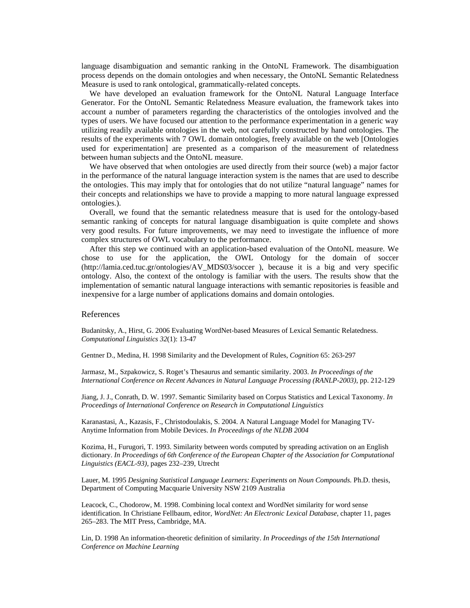language disambiguation and semantic ranking in the OntoNL Framework. The disambiguation process depends on the domain ontologies and when necessary, the OntoNL Semantic Relatedness Measure is used to rank ontological, grammatically-related concepts.

We have developed an evaluation framework for the OntoNL Natural Language Interface Generator. For the OntoNL Semantic Relatedness Measure evaluation, the framework takes into account a number of parameters regarding the characteristics of the ontologies involved and the types of users. We have focused our attention to the performance experimentation in a generic way utilizing readily available ontologies in the web, not carefully constructed by hand ontologies. The results of the experiments with 7 OWL domain ontologies, freely available on the web [Ontologies used for experimentation] are presented as a comparison of the measurement of relatedness between human subjects and the OntoNL measure.

We have observed that when ontologies are used directly from their source (web) a major factor in the performance of the natural language interaction system is the names that are used to describe the ontologies. This may imply that for ontologies that do not utilize "natural language" names for their concepts and relationships we have to provide a mapping to more natural language expressed ontologies.).

Overall, we found that the semantic relatedness measure that is used for the ontology-based semantic ranking of concepts for natural language disambiguation is quite complete and shows very good results. For future improvements, we may need to investigate the influence of more complex structures of OWL vocabulary to the performance.

After this step we continued with an application-based evaluation of the OntoNL measure. We chose to use for the application, the OWL Ontology for the domain of soccer (http://lamia.ced.tuc.gr/ontologies/AV\_MDS03/soccer ), because it is a big and very specific ontology. Also, the context of the ontology is familiar with the users. The results show that the implementation of semantic natural language interactions with semantic repositories is feasible and inexpensive for a large number of applications domains and domain ontologies.

#### References

Budanitsky, A., Hirst, G. 2006 Evaluating WordNet-based Measures of Lexical Semantic Relatedness. *Computational Linguistics 32*(1): 13-47

Gentner D., Medina, H. 1998 Similarity and the Development of Rules, *Cognition* 65: 263-297

Jarmasz, M., Szpakowicz, S. Roget's Thesaurus and semantic similarity. 2003. *In Proceedings of the International Conference on Recent Advances in Natural Language Processing (RANLP-2003)*, pp. 212-129

Jiang, J. J., Conrath, D. W. 1997. Semantic Similarity based on Corpus Statistics and Lexical Taxonomy. *In Proceedings of International Conference on Research in Computational Linguistics*

Karanastasi, A., Kazasis, F., Christodoulakis, S. 2004. A Natural Language Model for Managing TV-Anytime Information from Mobile Devices. *In Proceedings of the NLDB 2004*

Kozima, H., Furugori, T. 1993. Similarity between words computed by spreading activation on an English dictionary. *In Proceedings of 6th Conference of the European Chapter of the Association for Computational Linguistics (EACL-93),* pages 232–239, Utrecht

Lauer, M. 1995 *Designing Statistical Language Learners: Experiments on Noun Compounds.* Ph.D. thesis, Department of Computing Macquarie University NSW 2109 Australia

Leacock, C., Chodorow, M. 1998. Combining local context and WordNet similarity for word sense identification. In Christiane Fellbaum, editor, *WordNet: An Electronic Lexical Database,* chapter 11, pages 265–283. The MIT Press, Cambridge, MA.

Lin, D. 1998 An information-theoretic definition of similarity. *In Proceedings of the 15th International Conference on Machine Learning*